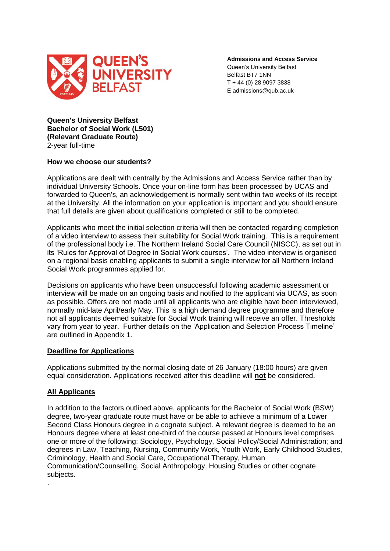

**Admissions and Access Service** Queen's University Belfast Belfast BT7 1NN T + 44 (0) 28 9097 3838 E admissions@qub.ac.uk

**Queen's University Belfast Bachelor of Social Work (L501) (Relevant Graduate Route)** 2-year full-time

### **How we choose our students?**

Applications are dealt with centrally by the Admissions and Access Service rather than by individual University Schools. Once your on-line form has been processed by UCAS and forwarded to Queen's, an acknowledgement is normally sent within two weeks of its receipt at the University. All the information on your application is important and you should ensure that full details are given about qualifications completed or still to be completed.

Applicants who meet the initial selection criteria will then be contacted regarding completion of a video interview to assess their suitability for Social Work training. This is a requirement of the professional body i.e. The Northern Ireland Social Care Council (NISCC), as set out in its 'Rules for Approval of Degree in Social Work courses'. The video interview is organised on a regional basis enabling applicants to submit a single interview for all Northern Ireland Social Work programmes applied for.

Decisions on applicants who have been unsuccessful following academic assessment or interview will be made on an ongoing basis and notified to the applicant via UCAS, as soon as possible. Offers are not made until all applicants who are eligible have been interviewed, normally mid-late April/early May. This is a high demand degree programme and therefore not all applicants deemed suitable for Social Work training will receive an offer. Thresholds vary from year to year. Further details on the 'Application and Selection Process Timeline' are outlined in Appendix 1.

#### **Deadline for Applications**

Applications submitted by the normal closing date of 26 January (18:00 hours) are given equal consideration. Applications received after this deadline will **not** be considered.

## **All Applicants**

.

In addition to the factors outlined above, applicants for the Bachelor of Social Work (BSW) degree, two-year graduate route must have or be able to achieve a minimum of a Lower Second Class Honours degree in a cognate subject. A relevant degree is deemed to be an Honours degree where at least one-third of the course passed at Honours level comprises one or more of the following: Sociology, Psychology, Social Policy/Social Administration; and degrees in Law, Teaching, Nursing, Community Work, Youth Work, Early Childhood Studies, Criminology, Health and Social Care, Occupational Therapy, Human Communication/Counselling, Social Anthropology, Housing Studies or other cognate subjects.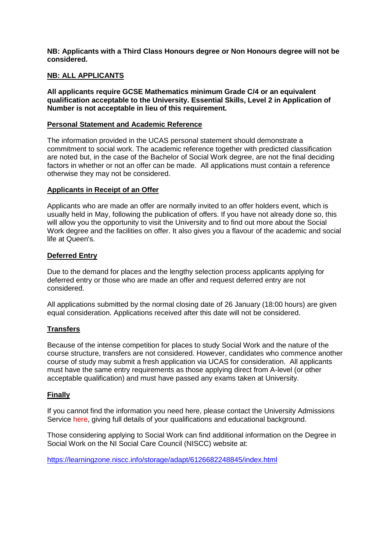**NB: Applicants with a Third Class Honours degree or Non Honours degree will not be considered.** 

## **NB: ALL APPLICANTS**

**All applicants require GCSE Mathematics minimum Grade C/4 or an equivalent qualification acceptable to the University. Essential Skills, Level 2 in Application of Number is not acceptable in lieu of this requirement.**

### **Personal Statement and Academic Reference**

The information provided in the UCAS personal statement should demonstrate a commitment to social work. The academic reference together with predicted classification are noted but, in the case of the Bachelor of Social Work degree, are not the final deciding factors in whether or not an offer can be made. All applications must contain a reference otherwise they may not be considered.

### **Applicants in Receipt of an Offer**

Applicants who are made an offer are normally invited to an offer holders event, which is usually held in May, following the publication of offers. If you have not already done so, this will allow you the opportunity to visit the University and to find out more about the Social Work degree and the facilities on offer. It also gives you a flavour of the academic and social life at Queen's.

### **Deferred Entry**

Due to the demand for places and the lengthy selection process applicants applying for deferred entry or those who are made an offer and request deferred entry are not considered.

All applications submitted by the normal closing date of 26 January (18:00 hours) are given equal consideration. Applications received after this date will not be considered.

## **Transfers**

Because of the intense competition for places to study Social Work and the nature of the course structure, transfers are not considered. However, candidates who commence another course of study may submit a fresh application via UCAS for consideration. All applicants must have the same entry requirements as those applying direct from A-level (or other acceptable qualification) and must have passed any exams taken at University.

## **Finally**

If you cannot find the information you need here, please contact the University Admissions Service [here,](mailto:admissionsbsw@qub.ac.uk) giving full details of your qualifications and educational background.

Those considering applying to Social Work can find additional information on the Degree in Social Work on the NI Social Care Council (NISCC) website at:

[https://learningzone.niscc.info/storage/adapt/6126682248845/index.html](https://eur02.safelinks.protection.outlook.com/?url=https%3A%2F%2Flearningzone.niscc.info%2Fstorage%2Fadapt%2F6126682248845%2Findex.html&data=04%7C01%7Cs.bloomer%40qub.ac.uk%7Cfd24d7fe91674058b85808d999fc4dd0%7Ceaab77eab4a549e3a1e8d6dd23a1f286%7C0%7C0%7C637710131184258354%7CUnknown%7CTWFpbGZsb3d8eyJWIjoiMC4wLjAwMDAiLCJQIjoiV2luMzIiLCJBTiI6Ik1haWwiLCJXVCI6Mn0%3D%7C1000&sdata=ePX9nH3iOsoX%2BZLERxkstqk%2BUu6DdLHtHH9hwL1Kc7s%3D&reserved=0)